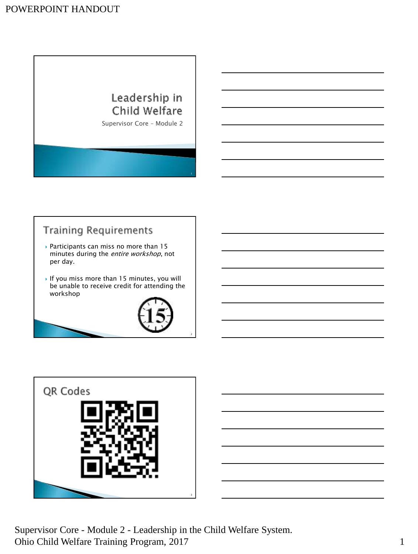# Leadership in Child Welfare

Supervisor Core – Module 2

# **Training Requirements**

- Participants can miss no more than 15 minutes during the *entire workshop*, not per day.
- If you miss more than  $15$  minutes, you will be unable to receive credit for attending the workshop



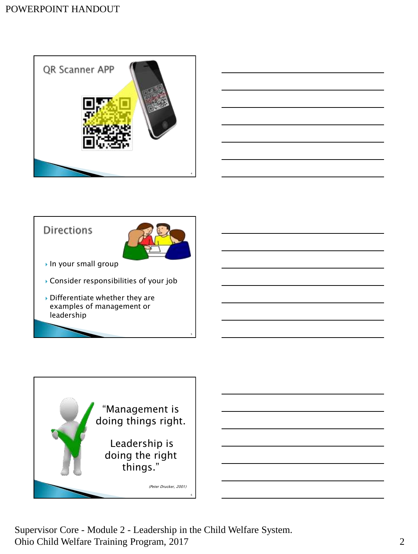



#### **Directions**



5

- ▶ In your small group
- Consider responsibilities of your job
- Differentiate whether they are examples of management or leadership



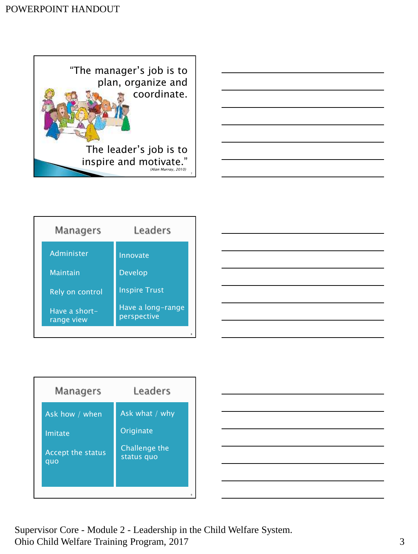



| Managers                    | Leaders                          |
|-----------------------------|----------------------------------|
| Administer                  | Innovate                         |
| <b>Maintain</b>             | <b>Develop</b>                   |
| Rely on control             | <b>Inspire Trust</b>             |
| Have a short-<br>range view | Have a long-range<br>perspective |
|                             | 8                                |

| Managers          | Leaders        |
|-------------------|----------------|
| Ask how / when    | Ask what / why |
| Imitate           | Originate      |
| Accept the status | Challenge the  |
| quo               | status quo     |
|                   | ٩              |

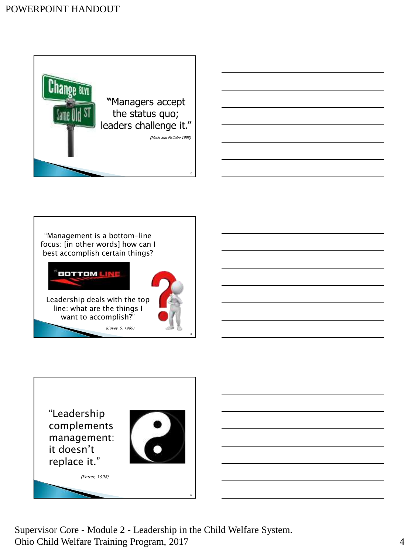





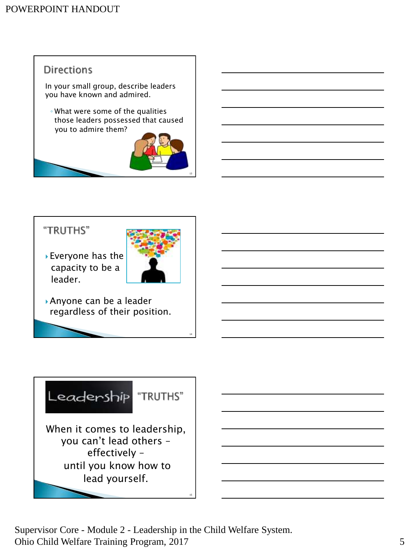# **Directions**

In your small group, describe leaders you have known and admired.

◦ What were some of the qualities those leaders possessed that caused you to admire them?



#### "TRUTHS"

 Everyone has the capacity to be a leader.



14

Anyone can be a leader regardless of their position.



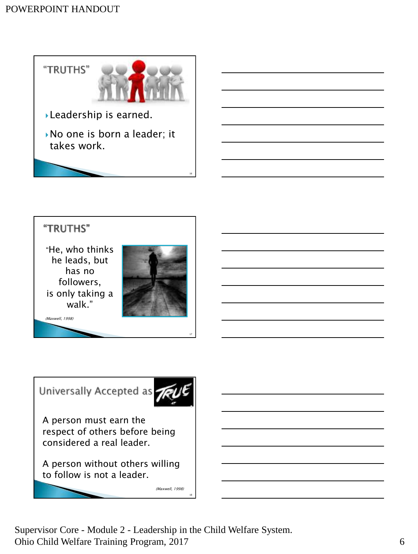

### "TRUTHS"

"He, who thinks he leads, but has no followers, is only taking a walk."



(Maxwell, 1998)





A person must earn the respect of others before being considered a real leader.

A person without others willing to follow is not a leader.

(Maxwell, 1998)

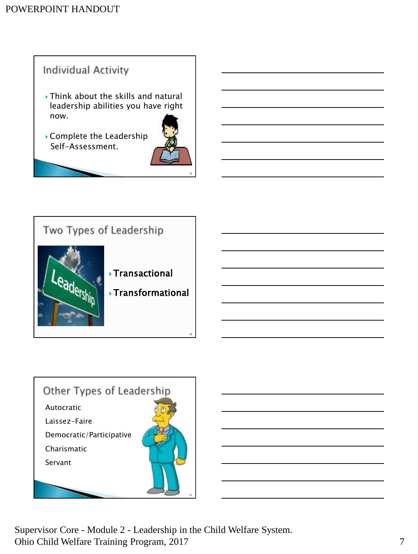# Individual Activity

- ▶ Think about the skills and natural leadership abilities you have right now.
- Complete the Leadership Self-Assessment.



19



# Other Types of Leadership Autocratic Laissez-Faire Democratic/Participative Charismatic Servant

Supervisor Core - Module 2 - Leadership in the Child Welfare System. Ohio Child Welfare Training Program, 2017 7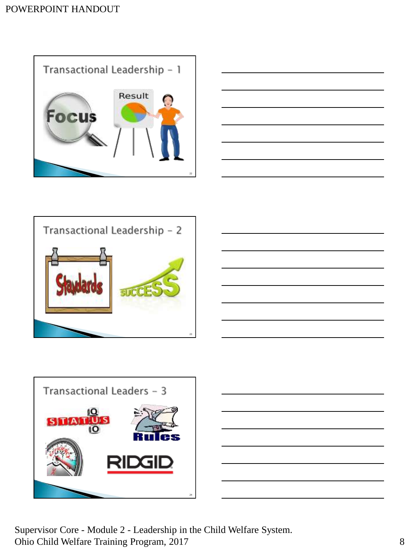









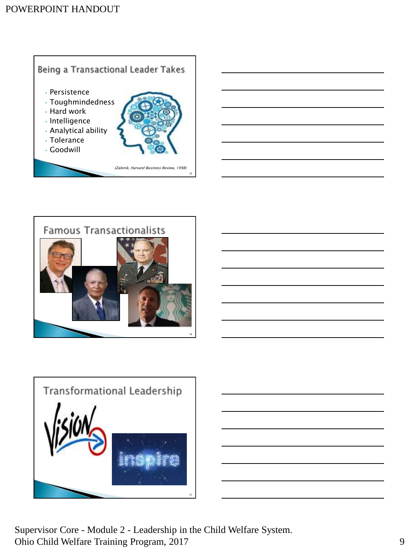



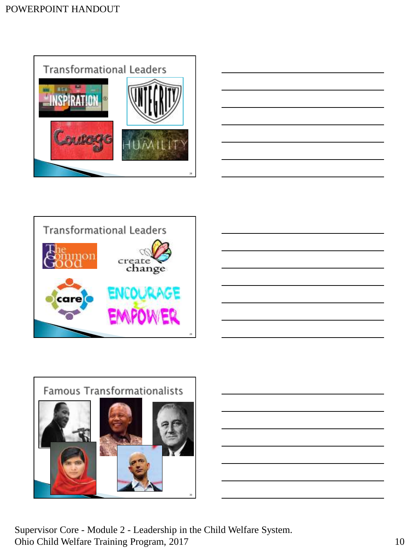









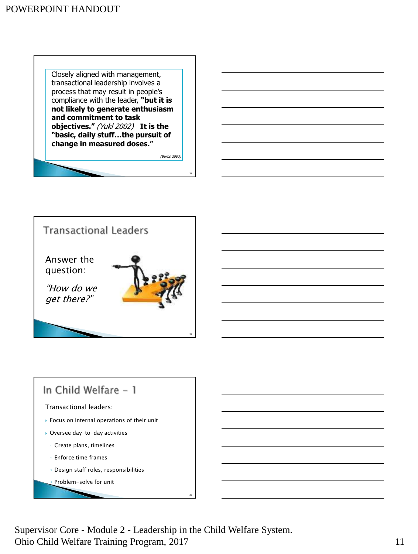Closely aligned with management, transactional leadership involves a process that may result in people's compliance with the leader, **"but it is not likely to generate enthusiasm and commitment to task objectives."** (Yukl 2002) **It is the "basic, daily stuff…the pursuit of change in measured doses."** 

(Burns 2003)

31



# In Child Welfare - 1 Transactional leaders: ▶ Focus on internal operations of their unit Oversee day-to-day activities ◦ Create plans, timelines ◦ Enforce time frames ◦ Design staff roles, responsibilities Problem-solve for unit

Supervisor Core - Module 2 - Leadership in the Child Welfare System. Ohio Child Welfare Training Program, 2017 11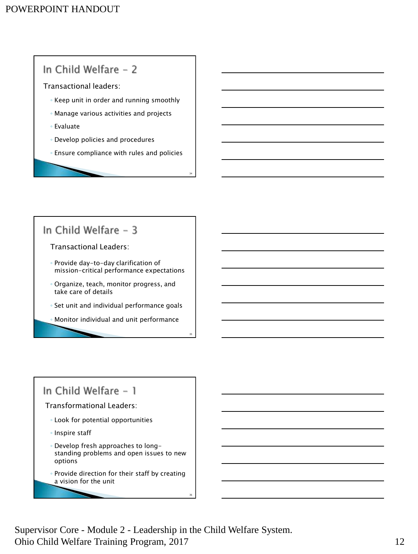### In Child Welfare - 2

Transactional leaders:

- Keep unit in order and running smoothly
- Manage various activities and projects
- Evaluate
- Develop policies and procedures
- Ensure compliance with rules and policies

34

35

36

#### In Child Welfare - 3

Transactional Leaders:

- Provide day-to-day clarification of mission-critical performance expectations
- Organize, teach, monitor progress, and take care of details
- Set unit and individual performance goals
- Monitor individual and unit performance

#### In Child Welfare - 1

Transformational Leaders:

- Look for potential opportunities
- Inspire staff
- Develop fresh approaches to longstanding problems and open issues to new options
- Provide direction for their staff by creating a vision for the unit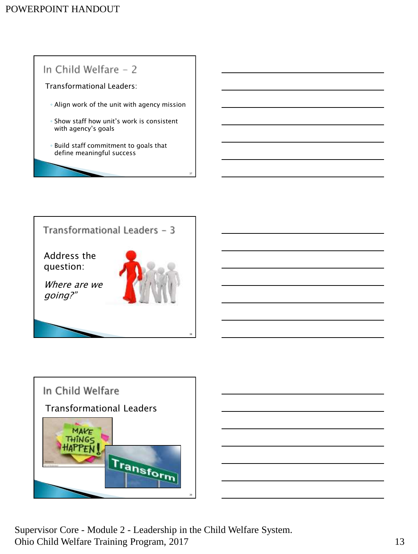





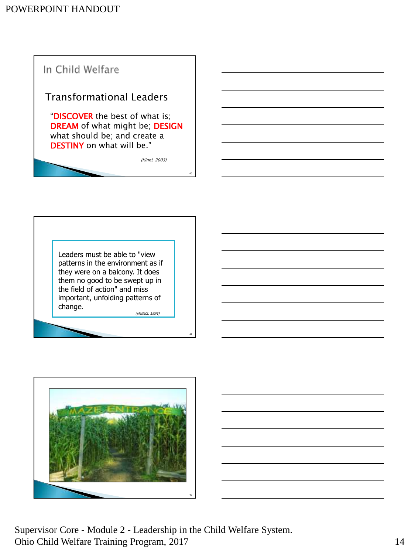

Leaders must be able to "view patterns in the environment as if they were on a balcony. It does them no good to be swept up in the field of action" and miss important, unfolding patterns of change.

(Heifetz, 1994)

41



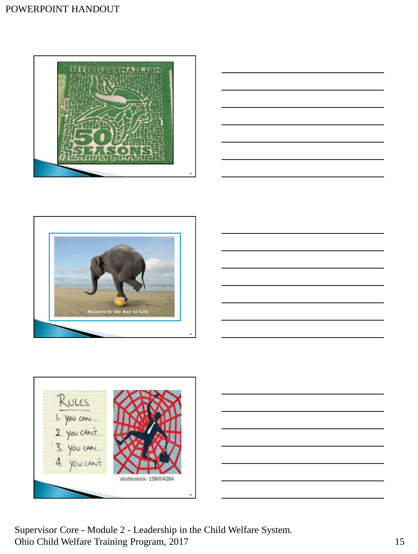









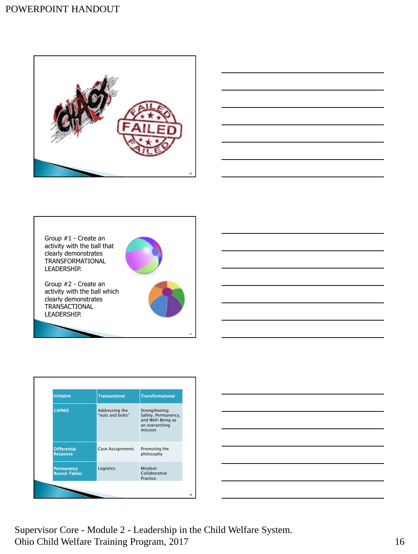





| <b>Initiative</b>                        | <b>Transactional</b>               | <b>Transformational</b>                                                                |
|------------------------------------------|------------------------------------|----------------------------------------------------------------------------------------|
| <b>CAPMIS</b>                            | Addressing the<br>"nuts and bolts" | Strengthening<br>Safety, Permanency,<br>and Well-Being as<br>an overarching<br>mission |
| <b>Differential</b><br><b>Response</b>   | Case Assignments                   | Promoting the<br>philosophy                                                            |
| <b>Permanency</b><br><b>Round-Tables</b> | Logistics                          | Mindset:<br>Collaborative<br>Practice                                                  |

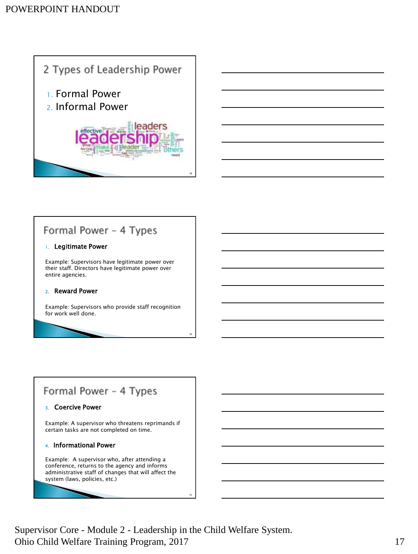

# Formal Power - 4 Types

#### 1. Legitimate Power

Example: Supervisors have legitimate power over their staff. Directors have legitimate power over entire agencies.

#### 2. Reward Power

Example: Supervisors who provide staff recognition for work well done.

### Formal Power - 4 Types

#### 3. Coercive Power

Example: A supervisor who threatens reprimands if certain tasks are not completed on time.

#### 4. Informational Power

Example: A supervisor who, after attending a conference, returns to the agency and informs administrative staff of changes that will affect the system (laws, policies, etc.)

Supervisor Core - Module 2 - Leadership in the Child Welfare System. Ohio Child Welfare Training Program, 2017 17

50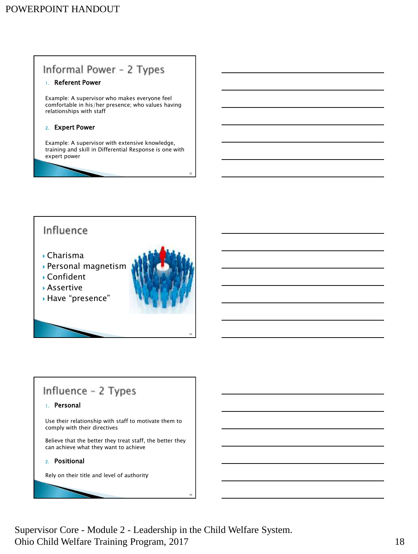### Informal Power - 2 Types

#### 1. Referent Power

Example: A supervisor who makes everyone feel comfortable in his/her presence; who values having relationships with staff

#### 2. Expert Power

Example: A supervisor with extensive knowledge, training and skill in Differential Response is one with expert power

### Influence

- Charisma
- Personal magnetism
- Confident
- Assertive
- Have "presence"



52

53

54

### Influence - 2 Types

#### 1. Personal

Use their relationship with staff to motivate them to comply with their directives

Believe that the better they treat staff, the better they can achieve what they want to achieve

#### 2. Positional

h

Rely on their title and level of authority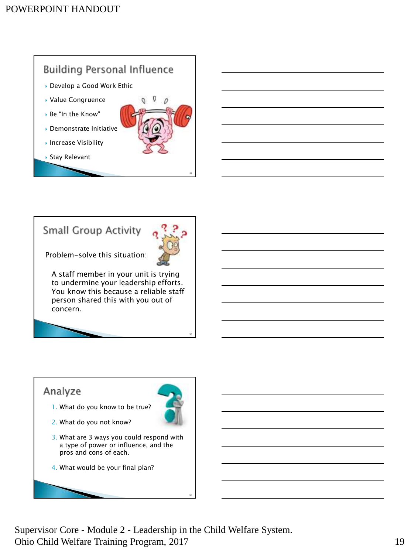# **Building Personal Influence**

- ▶ Develop a Good Work Ethic
- Value Congruence
- Be "In the Know"
- Demonstrate Initiative
- ▶ Increase Visibility

Stay Relevant



0

# **Small Group Activity**



55

56

57

Problem-solve this situation:

A staff member in your unit is trying to undermine your leadership efforts. You know this because a reliable staff person shared this with you out of concern.

#### Analyze

1. What do you know to be true?



- 2. What do you not know?
- 3. What are 3 ways you could respond with a type of power or influence, and the pros and cons of each.
- 4. What would be your final plan?

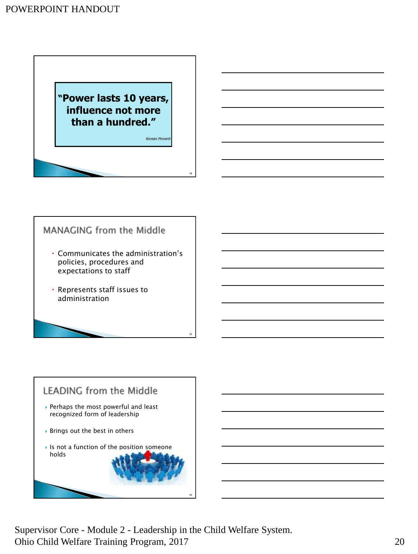**"Power lasts 10 years, influence not more than a hundred."**

Korean Provert

58

59

60

### MANAGING from the Middle

- Communicates the administration's policies, procedures and expectations to staff
- Represents staff issues to administration

# **LEADING from the Middle**

- Perhaps the most powerful and least recognized form of leadership
- Brings out the best in others
- $\blacktriangleright$  Is not a function of the position someone holds

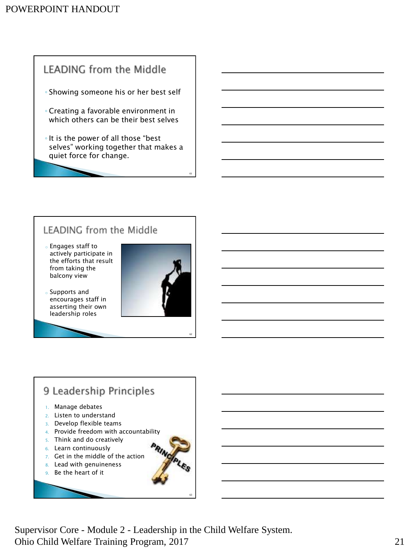# **LEADING from the Middle**

- Showing someone his or her best self
- Creating a favorable environment in which others can be their best selves
- It is the power of all those "best selves" working together that makes a quiet force for change.

# LEADING from the Middle

- <sup>o</sup> Engages staff to actively participate in the efforts that result from taking the balcony view
- <sup>o</sup> Supports and encourages staff in asserting their own leadership roles



61

62

63

#### 9 Leadership Principles 1. Manage debates 2. Listen to understand 3. Develop flexible teams 4. Provide freedom with accountability 5. Think and do creatively 6. Learn continuously

- 
- 7. Get in the middle of the action
- 8. Lead with genuineness
- 9. Be the heart of it

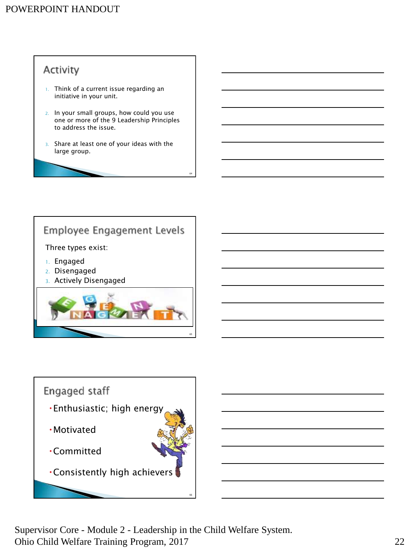# Activity

- 1. Think of a current issue regarding an initiative in your unit.
- 2. In your small groups, how could you use one or more of the 9 Leadership Principles to address the issue.
- 3. Share at least one of your ideas with the large group.

64

### Employee Engagement Levels

#### Three types exist:

- 1. Engaged
- 2. Disengaged
- 3. Actively Disengaged



#### Engaged staff

- Enthusiastic; high energy
- Motivated
- Committed
- Consistently high achievers

Supervisor Core - Module 2 - Leadership in the Child Welfare System. Ohio Child Welfare Training Program, 2017 22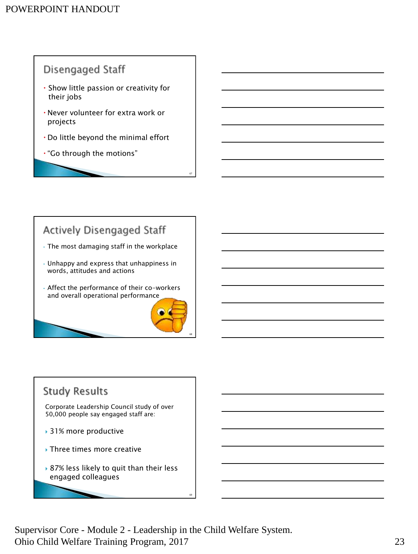### Disengaged Staff

- Show little passion or creativity for their jobs
- Never volunteer for extra work or projects
- Do little beyond the minimal effort
- "Go through the motions"

### **Actively Disengaged Staff**

- The most damaging staff in the workplace
- Unhappy and express that unhappiness in words, attitudes and actions
- Affect the performance of their co-workers and overall operational performance



67

# **Study Results**

Corporate Leadership Council study of over 50,000 people say engaged staff are:

- ▶ 31% more productive
- ▶ Three times more creative
- ▶ 87% less likely to quit than their less engaged colleagues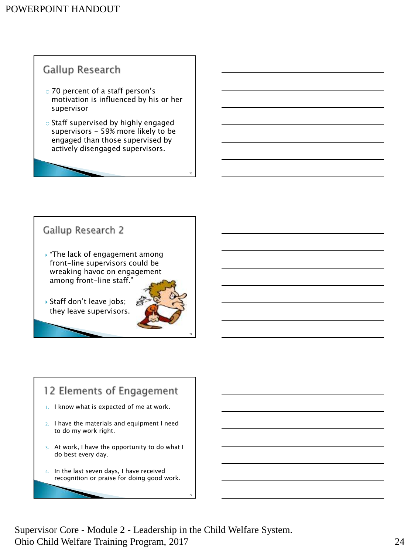### Gallup Research

- o 70 percent of a staff person's motivation is influenced by his or her supervisor
- o Staff supervised by highly engaged supervisors - 59% more likely to be engaged than those supervised by actively disengaged supervisors.

#### Gallup Research 2

- $\cdot$  "The lack of engagement among front-line supervisors could be wreaking havoc on engagement among front-line staff."
- Staff don't leave jobs; they leave supervisors.



70

# 12 Elements of Engagement

- 1. I know what is expected of me at work.
- 2. I have the materials and equipment I need to do my work right.
- 3. At work, I have the opportunity to do what I do best every day.
- 4. In the last seven days, I have received recognition or praise for doing good work.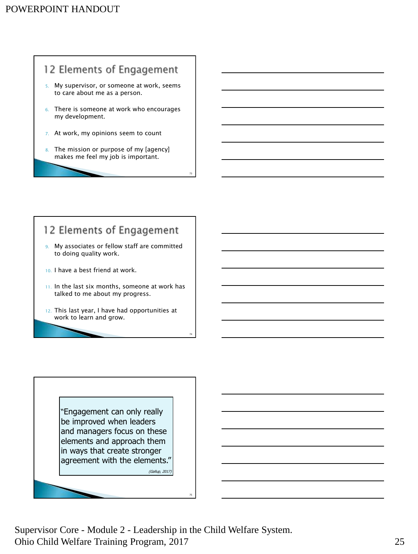# 12 Elements of Engagement

- 5. My supervisor, or someone at work, seems to care about me as a person.
- 6. There is someone at work who encourages my development.
- 7. At work, my opinions seem to count
- 8. The mission or purpose of my [agency] makes me feel my job is important.

73

74

75

# 12 Elements of Engagement

- 9. My associates or fellow staff are committed to doing quality work.
- 10. I have a best friend at work.
- 11. In the last six months, someone at work has talked to me about my progress.
- 12. This last year, I have had opportunities at work to learn and grow.

"Engagement can only really be improved when leaders and managers focus on these elements and approach them in ways that create stronger agreement with the elements." (Gallup, 2017)

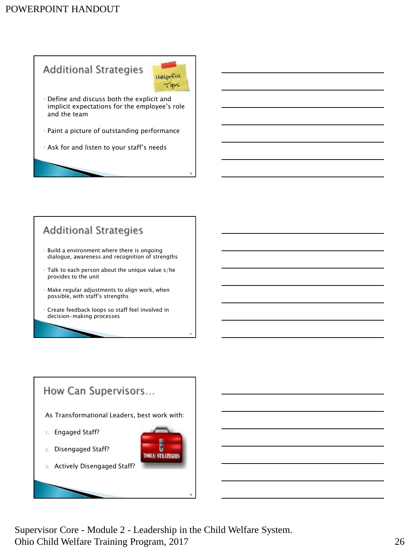# **Additional Strategies**



76

- Define and discuss both the explicit and implicit expectations for the employee's role and the team
- Paint a picture of outstanding performance
- Ask for and listen to your staff's needs

# **Additional Strategies**

- Build a environment where there is ongoing dialogue, awareness and recognition of strengths
- Talk to each person about the unique value s/he provides to the unit
- Make regular adjustments to align work, when possible, with staff's strengths
- Create feedback loops so staff feel involved in decision-making processes

### How Can Supervisors...

As Transformational Leaders, best work with:

- 1. Engaged Staff?
- 2. Disengaged Staff?
- 3. Actively Disengaged Staff?



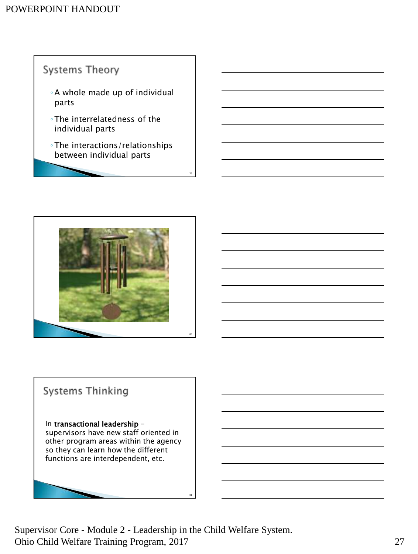



# **Systems Thinking**

In transactional leadership supervisors have new staff oriented in other program areas within the agency so they can learn how the different functions are interdependent, etc.

Supervisor Core - Module 2 - Leadership in the Child Welfare System. Ohio Child Welfare Training Program, 2017 27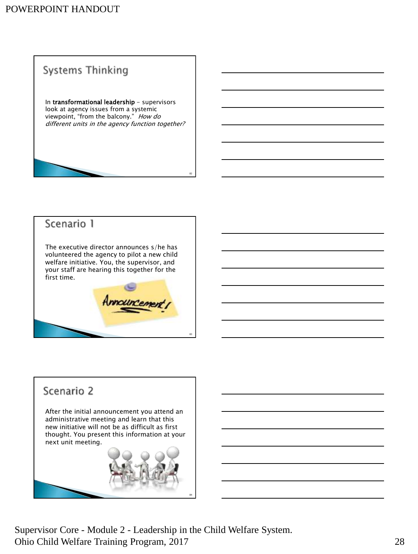# Systems Thinking

In transformational leadership - supervisors look at agency issues from a systemic viewpoint, "from the balcony." How do different units in the agency function together?

82

83

#### Scenario 1

The executive director announces s/he has volunteered the agency to pilot a new child welfare initiative. You, the supervisor, and your staff are hearing this together for the first time.

#### Scenario 2

After the initial announcement you attend an administrative meeting and learn that this new initiative will not be as difficult as first thought. You present this information at your next unit meeting.



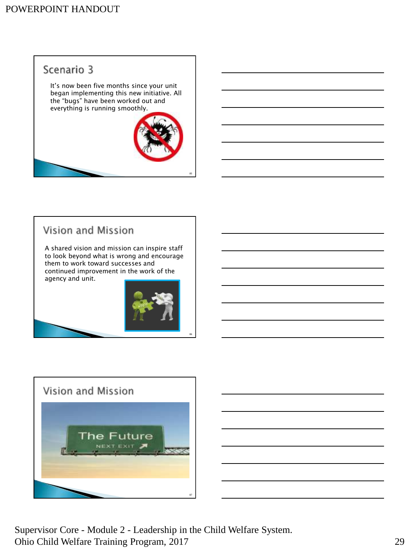# Scenario 3

It's now been five months since your unit began implementing this new initiative. All the "bugs" have been worked out and everything is running smoothly.



# Vision and Mission

A shared vision and mission can inspire staff to look beyond what is wrong and encourage them to work toward successes and continued improvement in the work of the agency and unit.







Supervisor Core - Module 2 - Leadership in the Child Welfare System. Ohio Child Welfare Training Program, 2017 29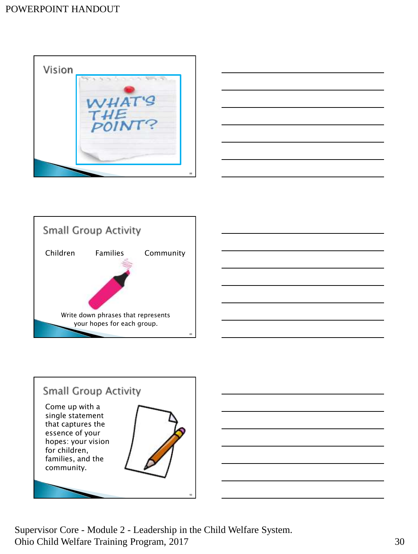#### POWERPOINT HANDOUT









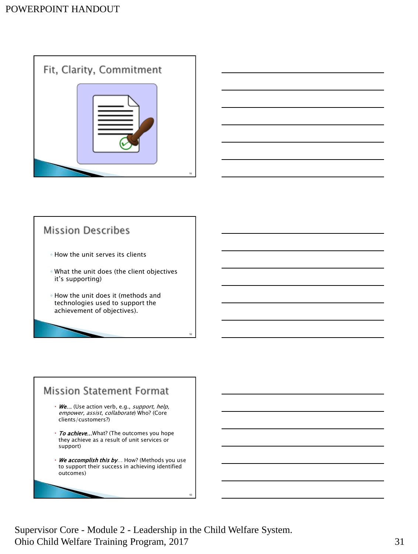



### **Mission Describes**

- How the unit serves its clients
- What the unit does (the client objectives it's supporting)
- How the unit does it (methods and technologies used to support the achievement of objectives).

#### **Mission Statement Format** • We... (Use action verb, e.g., *support, help,* empower, assist, collaborate) Who? (Core clients/customers?) • To achieve... What? (The outcomes you hope they achieve as a result of unit services or support) • We accomplish this by... How? (Methods you use to support their success in achieving identified outcomes)

Supervisor Core - Module 2 - Leadership in the Child Welfare System. Ohio Child Welfare Training Program, 2017 31

92